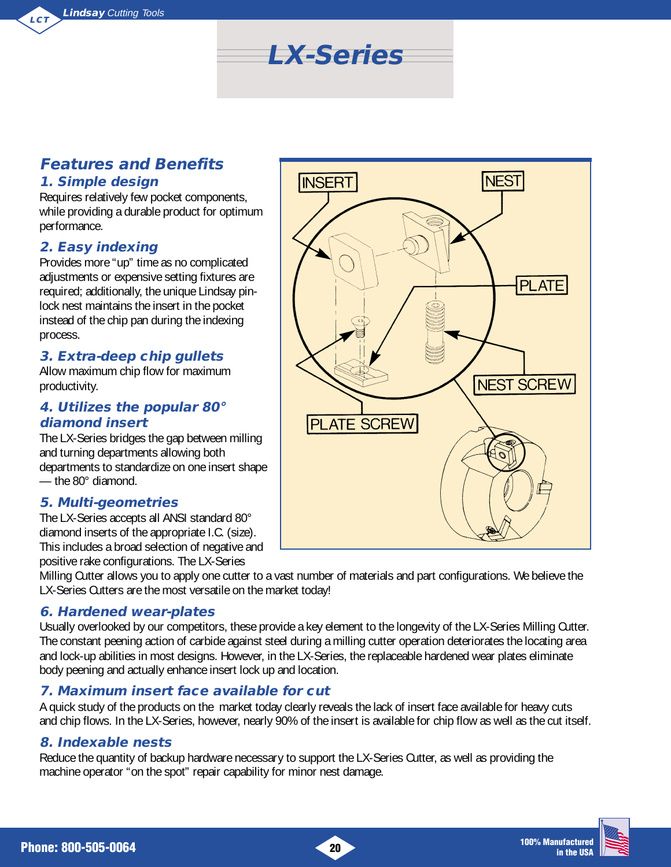

## **Features and Benefits 1. Simple design**

Requires relatively few pocket components, while providing a durable product for optimum performance.

#### **2. Easy indexing**

Provides more "up" time as no complicated adjustments or expensive setting fixtures are required; additionally, the unique Lindsay pinlock nest maintains the insert in the pocket instead of the chip pan during the indexing process.

#### **3. Extra-deep chip gullets**

Allow maximum chip flow for maximum productivity.

#### **4. Utilizes the popular 80° diamond insert**

The LX-Series bridges the gap between milling and turning departments allowing both departments to standardize on one insert shape — the 80° diamond.

#### **5. Multi-geometries**

The LX-Series accepts all ANSI standard 80° diamond inserts of the appropriate I.C. (size). This includes a broad selection of negative and positive rake configurations. The LX-Series

Milling Cutter allows you to apply one cutter to a vast number of materials and part configurations. We believe the LX-Series Cutters are the most versatile on the market today!

#### **6. Hardened wear-plates**

Usually overlooked by our competitors, these provide a key element to the longevity of the LX-Series Milling Cutter. The constant peening action of carbide against steel during a milling cutter operation deteriorates the locating area and lock-up abilities in most designs. However, in the LX-Series, the replaceable hardened wear plates eliminate body peening and actually enhance insert lock up and location.

### **7. Maximum insert face available for cut**

A quick study of the products on the market today clearly reveals the lack of insert face available for heavy cuts and chip flows. In the LX-Series, however, nearly 90% of the insert is available for chip flow as well as the cut itself.

#### **8. Indexable nests**

Reduce the quantity of backup hardware necessary to support the LX-Series Cutter, as well as providing the machine operator "on the spot" repair capability for minor nest damage.

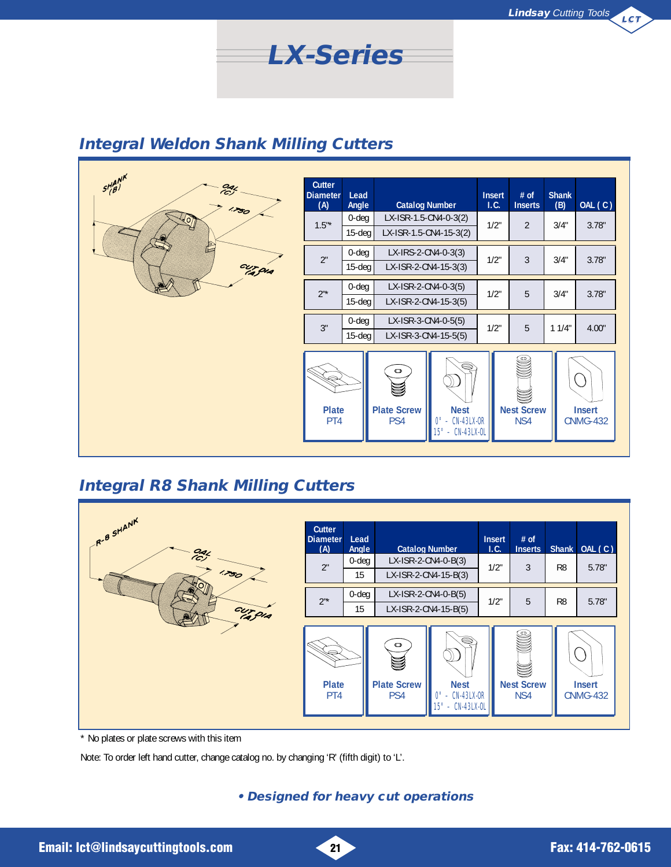

| $5H^{AB'}_{(B)}$<br>$\frac{O_4}{C}$ | Cutter<br><b>Diameter</b><br>(A) | Lead<br>Angle          | <b>Catalog Number</b>                           |                                                                       | <b>Insert</b><br>1.C. | # of<br><b>Inserts</b>        | <b>Shank</b><br>(B) | OAL (C)                          |
|-------------------------------------|----------------------------------|------------------------|-------------------------------------------------|-----------------------------------------------------------------------|-----------------------|-------------------------------|---------------------|----------------------------------|
| 1.750<br>t<br>cur qua               | $1.5"$ *                         | $0$ -deg<br>$15-deg$   | LX-ISR-1.5-CN4-0-3(2)<br>LX-ISR-1.5-CN4-15-3(2) |                                                                       | $1/2$ "               | $\overline{2}$                | 3/4"                | 3.78"                            |
|                                     | 2"                               | $0$ -deg<br>$15 - deg$ | LX-IRS-2-CN4-0-3(3)<br>LX-ISR-2-CN4-15-3(3)     |                                                                       | 1/2"                  | 3                             | 3/4"                | 3.78"                            |
|                                     | $2^{\mathsf{n} \star}$           | $0$ -deg<br>$15 - deg$ | LX-ISR-2-CN4-0-3(5)<br>LX-ISR-2-CN4-15-3(5)     |                                                                       | 1/2"                  | 5                             | 3/4"                | 3.78"                            |
|                                     | 3"                               | $0$ -deg<br>$15 - deg$ | LX-ISR-3-CN4-0-5(5)<br>LX-ISR-3-CN4-15-5(5)     |                                                                       | $1/2$ "               | 5                             | 11/4"               | 4.00"                            |
|                                     | <b>Plate</b><br>PT4              |                        | $\bullet$<br><b>Plate Screw</b><br>PS4          | S<br><b>Nest</b><br>$0^\circ$ - CN-43LX-0R<br>$15^\circ$ - CN-43LX-OL |                       | S<br><b>Nest Screw</b><br>NS4 |                     | <b>Insert</b><br><b>CNMG-432</b> |

**LX-Series**

# **Integral R8 Shank Milling Cutters**

| R-B SHANK                       | <b>Cutter</b><br><b>Diameter</b><br>(A) | Lead<br>Angle  | <b>Catalog Number</b>                              |                                                                              | <b>Insert</b><br>1.C. | $#$ of<br><b>Inserts</b>      | <b>Shank</b>   | OAL (C)                          |
|---------------------------------|-----------------------------------------|----------------|----------------------------------------------------|------------------------------------------------------------------------------|-----------------------|-------------------------------|----------------|----------------------------------|
| $rac{0}{2}$<br>1.750<br>cur qua | 2"                                      | $0$ -deg<br>15 | LX-ISR-2-CN4-0-B(3)<br>LX-ISR-2-CN4-15-B(3)        |                                                                              | 1/2"                  | 3                             | R <sub>8</sub> | 5.78"                            |
|                                 | $2^{\mathsf{u}\star}$                   | $0$ -deg<br>15 |                                                    | LX-ISR-2-CN4-0-B(5)<br>LX-ISR-2-CN4-15-B(5)                                  |                       | 5                             | R <sub>8</sub> | 5.78"                            |
|                                 | <b>Plate</b><br>PT4                     |                | $\bullet$<br><b>Plate Screw</b><br>PS <sub>4</sub> | Ş<br><b>Nest</b><br>$-$ CN-43LX-OR<br>$0^{\circ}$<br>$15^\circ - CN-43LX-OL$ |                       | ٩<br><b>Nest Screw</b><br>NS4 |                | <b>Insert</b><br><b>CNMG-432</b> |

\* No plates or plate screws with this item

Note: To order left hand cutter, change catalog no. by changing 'R' (fifth digit) to 'L'.

### **• Designed for heavy cut operations**